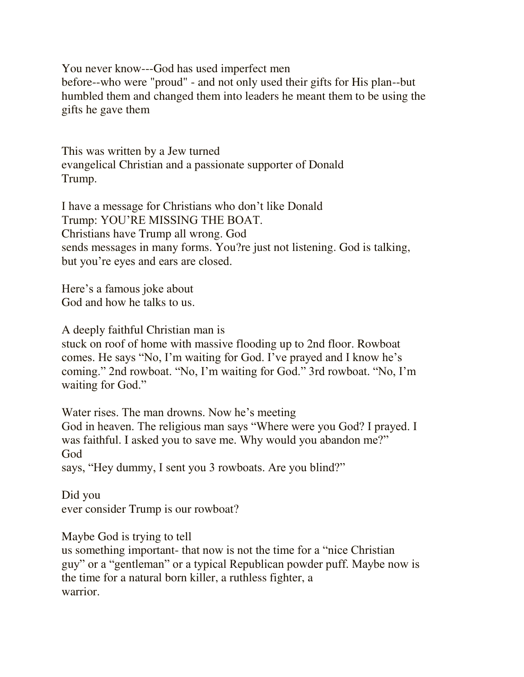You never know---God has used imperfect men before--who were "proud" - and not only used their gifts for His plan--but humbled them and changed them into leaders he meant them to be using the gifts he gave them

This was written by a Jew turned evangelical Christian and a passionate supporter of Donald Trump.

I have a message for Christians who don't like Donald Trump: YOU'RE MISSING THE BOAT. Christians have Trump all wrong. God sends messages in many forms. You?re just not listening. God is talking, but you're eyes and ears are closed.

Here's a famous joke about God and how he talks to us.

A deeply faithful Christian man is

stuck on roof of home with massive flooding up to 2nd floor. Rowboat comes. He says "No, I'm waiting for God. I've prayed and I know he's coming." 2nd rowboat. "No, I'm waiting for God." 3rd rowboat. "No, I'm waiting for God."

Water rises. The man drowns. Now he's meeting

God in heaven. The religious man says "Where were you God? I prayed. I was faithful. I asked you to save me. Why would you abandon me?" God

says, "Hey dummy, I sent you 3 rowboats. Are you blind?"

Did you ever consider Trump is our rowboat?

Maybe God is trying to tell

us something important- that now is not the time for a "nice Christian guy" or a "gentleman" or a typical Republican powder puff. Maybe now is the time for a natural born killer, a ruthless fighter, a warrior.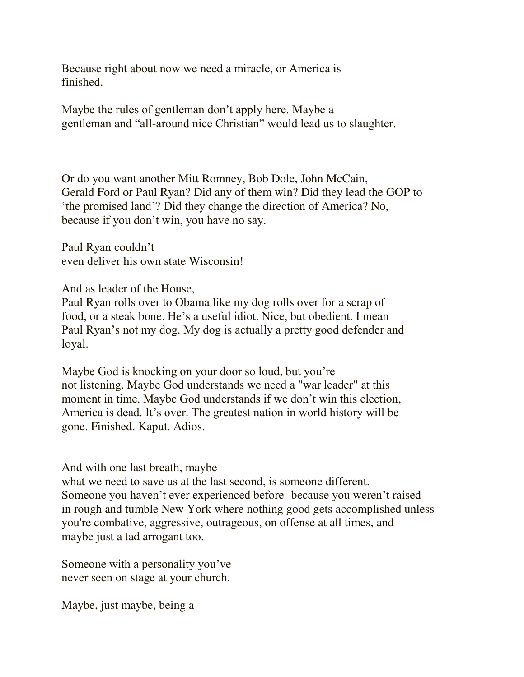Because right about now we need a miracle, or America is finished.

Maybe the rules of gentleman don't apply here. Maybe a gentleman and "all-around nice Christian" would lead us to slaughter.

Or do you want another Mitt Romney, Bob Dole, John McCain, Gerald Ford or Paul Ryan? Did any of them win? Did they lead the GOP to 'the promised land'? Did they change the direction of America? No, because if you don't win, you have no say.

Paul Ryan couldn't even deliver his own state Wisconsin!

And as leader of the House,

Paul Ryan rolls over to Obama like my dog rolls over for a scrap of food, or a steak bone. He's a useful idiot. Nice, but obedient. I mean Paul Ryan's not my dog. My dog is actually a pretty good defender and loyal.

Maybe God is knocking on your door so loud, but you're not listening. Maybe God understands we need a "war leader" at this moment in time. Maybe God understands if we don't win this election, America is dead. It's over. The greatest nation in world history will be gone. Finished. Kaput. Adios.

And with one last breath, maybe

what we need to save us at the last second, is someone different. Someone you haven't ever experienced before- because you weren't raised in rough and tumble New York where nothing good gets accomplished unless you're combative, aggressive, outrageous, on offense at all times, and maybe just a tad arrogant too.

Someone with a personality you've never seen on stage at your church.

Maybe, just maybe, being a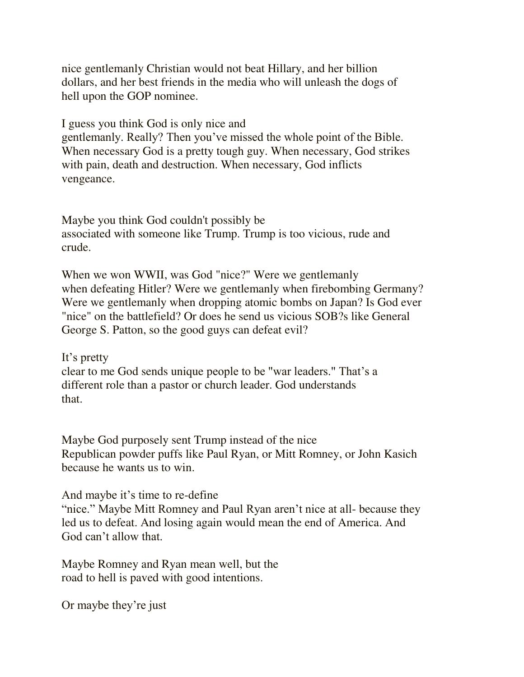nice gentlemanly Christian would not beat Hillary, and her billion dollars, and her best friends in the media who will unleash the dogs of hell upon the GOP nominee.

I guess you think God is only nice and gentlemanly. Really? Then you've missed the whole point of the Bible. When necessary God is a pretty tough guy. When necessary, God strikes with pain, death and destruction. When necessary, God inflicts vengeance.

Maybe you think God couldn't possibly be associated with someone like Trump. Trump is too vicious, rude and crude.

When we won WWII, was God "nice?" Were we gentlemanly when defeating Hitler? Were we gentlemanly when firebombing Germany? Were we gentlemanly when dropping atomic bombs on Japan? Is God ever "nice" on the battlefield? Or does he send us vicious SOB?s like General George S. Patton, so the good guys can defeat evil?

It's pretty clear to me God sends unique people to be "war leaders." That's a different role than a pastor or church leader. God understands that.

Maybe God purposely sent Trump instead of the nice Republican powder puffs like Paul Ryan, or Mitt Romney, or John Kasich because he wants us to win.

## And maybe it's time to re-define

"nice." Maybe Mitt Romney and Paul Ryan aren't nice at all- because they led us to defeat. And losing again would mean the end of America. And God can't allow that.

Maybe Romney and Ryan mean well, but the road to hell is paved with good intentions.

Or maybe they're just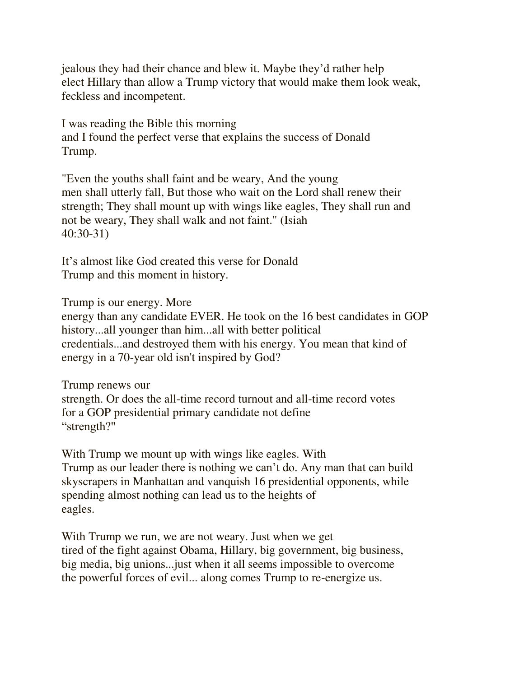jealous they had their chance and blew it. Maybe they'd rather help elect Hillary than allow a Trump victory that would make them look weak, feckless and incompetent.

I was reading the Bible this morning and I found the perfect verse that explains the success of Donald Trump.

"Even the youths shall faint and be weary, And the young men shall utterly fall, But those who wait on the Lord shall renew their strength; They shall mount up with wings like eagles, They shall run and not be weary, They shall walk and not faint." (Isiah 40:30-31)

It's almost like God created this verse for Donald Trump and this moment in history.

Trump is our energy. More

energy than any candidate EVER. He took on the 16 best candidates in GOP history...all younger than him...all with better political credentials...and destroyed them with his energy. You mean that kind of energy in a 70-year old isn't inspired by God?

Trump renews our strength. Or does the all-time record turnout and all-time record votes for a GOP presidential primary candidate not define "strength?"

With Trump we mount up with wings like eagles. With Trump as our leader there is nothing we can't do. Any man that can build skyscrapers in Manhattan and vanquish 16 presidential opponents, while spending almost nothing can lead us to the heights of eagles.

With Trump we run, we are not weary. Just when we get tired of the fight against Obama, Hillary, big government, big business, big media, big unions...just when it all seems impossible to overcome the powerful forces of evil... along comes Trump to re-energize us.